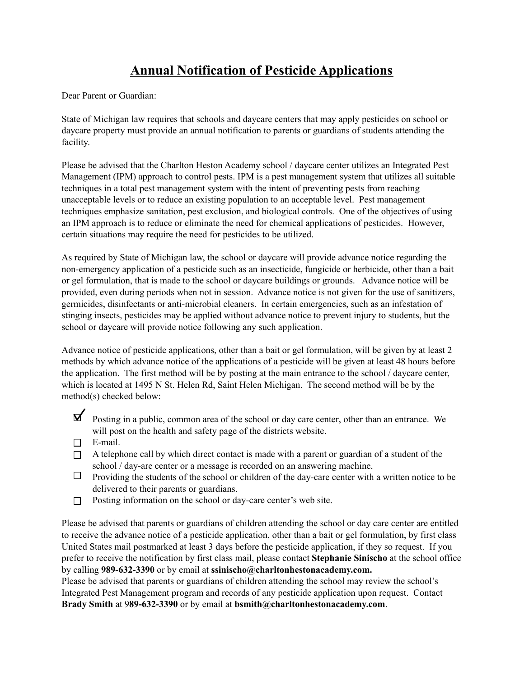## **Annual Notification of Pesticide Applications**

Dear Parent or Guardian:

State of Michigan law requires that schools and daycare centers that may apply pesticides on school or daycare property must provide an annual notification to parents or guardians of students attending the facility.

Please be advised that the Charlton Heston Academy school / daycare center utilizes an Integrated Pest Management (IPM) approach to control pests. IPM is a pest management system that utilizes all suitable techniques in a total pest management system with the intent of preventing pests from reaching unacceptable levels or to reduce an existing population to an acceptable level. Pest management techniques emphasize sanitation, pest exclusion, and biological controls. One of the objectives of using an IPM approach is to reduce or eliminate the need for chemical applications of pesticides. However, certain situations may require the need for pesticides to be utilized.

As required by State of Michigan law, the school or daycare will provide advance notice regarding the non-emergency application of a pesticide such as an insecticide, fungicide or herbicide, other than a bait or gel formulation, that is made to the school or daycare buildings or grounds. Advance notice will be provided, even during periods when not in session. Advance notice is not given for the use of sanitizers, germicides, disinfectants or anti-microbial cleaners. In certain emergencies, such as an infestation of stinging insects, pesticides may be applied without advance notice to prevent injury to students, but the school or daycare will provide notice following any such application.

Advance notice of pesticide applications, other than a bait or gel formulation, will be given by at least 2 methods by which advance notice of the applications of a pesticide will be given at least 48 hours before the application. The first method will be by posting at the main entrance to the school / daycare center, which is located at 1495 N St. Helen Rd, Saint Helen Michigan. The second method will be by the method(s) checked below:

- $\triangleright$  Posting in a public, common area of the school or day care center, other than an entrance. We will post on the health and safety page of the districts website.
- □ E-mail.
- $\Box$  A telephone call by which direct contact is made with a parent or guardian of a student of the school / day-are center or a message is recorded on an answering machine.
- $\Box$  Providing the students of the school or children of the day-care center with a written notice to be delivered to their parents or guardians.
- Posting information on the school or day-care center's web site.  $\Box$

Please be advised that parents or guardians of children attending the school or day care center are entitled to receive the advance notice of a pesticide application, other than a bait or gel formulation, by first class United States mail postmarked at least 3 days before the pesticide application, if they so request. If you prefer to receive the notification by first class mail, please contact **Stephanie Sinischo** at the school office by calling **989-632-3390** or by email at **ssinischo@charltonhestonacademy.com.**

Please be advised that parents or guardians of children attending the school may review the school's Integrated Pest Management program and records of any pesticide application upon request. Contact **Brady Smith** at 9**89-632-3390** or by email at **bsmith@charltonhestonacademy.com**.